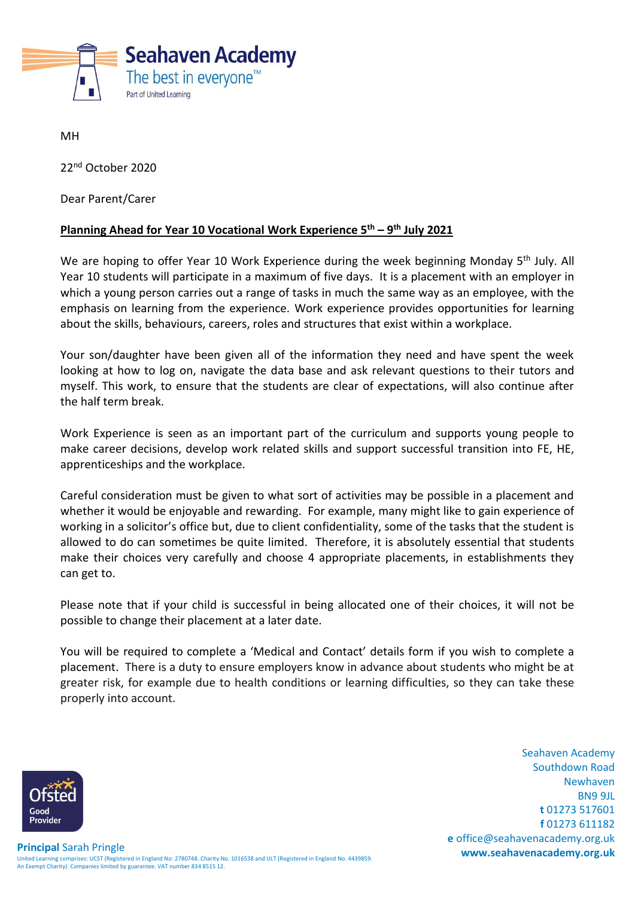

MH

22<sup>nd</sup> October 2020

Dear Parent/Carer

## **Planning Ahead for Year 10 Vocational Work Experience 5th – 9 th July 2021**

We are hoping to offer Year 10 Work Experience during the week beginning Monday 5<sup>th</sup> July. All Year 10 students will participate in a maximum of five days. It is a placement with an employer in which a young person carries out a range of tasks in much the same way as an employee, with the emphasis on learning from the experience. Work experience provides opportunities for learning about the skills, behaviours, careers, roles and structures that exist within a workplace.

Your son/daughter have been given all of the information they need and have spent the week looking at how to log on, navigate the data base and ask relevant questions to their tutors and myself. This work, to ensure that the students are clear of expectations, will also continue after the half term break.

Work Experience is seen as an important part of the curriculum and supports young people to make career decisions, develop work related skills and support successful transition into FE, HE, apprenticeships and the workplace.

Careful consideration must be given to what sort of activities may be possible in a placement and whether it would be enjoyable and rewarding. For example, many might like to gain experience of working in a solicitor's office but, due to client confidentiality, some of the tasks that the student is allowed to do can sometimes be quite limited. Therefore, it is absolutely essential that students make their choices very carefully and choose 4 appropriate placements, in establishments they can get to.

Please note that if your child is successful in being allocated one of their choices, it will not be possible to change their placement at a later date.

You will be required to complete a 'Medical and Contact' details form if you wish to complete a placement. There is a duty to ensure employers know in advance about students who might be at greater risk, for example due to health conditions or learning difficulties, so they can take these properly into account.

Good **Provider** 

Seahaven Academy Southdown Road Newhaven BN9 9JL **t** 01273 517601 **f** 01273 611182 **e** office@seahavenacademy.org.uk